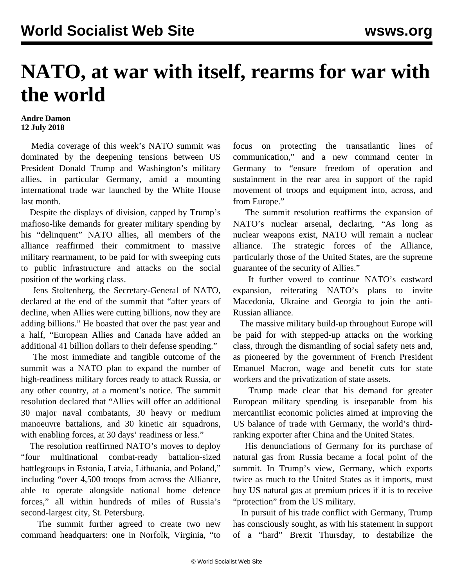## **NATO, at war with itself, rearms for war with the world**

## **Andre Damon 12 July 2018**

 Media coverage of this week's NATO summit was dominated by the deepening tensions between US President Donald Trump and Washington's military allies, in particular Germany, amid a mounting international trade war launched by the White House last month.

 Despite the displays of division, capped by Trump's mafioso-like demands for greater military spending by his "delinquent" NATO allies, all members of the alliance reaffirmed their commitment to massive military rearmament, to be paid for with sweeping cuts to public infrastructure and attacks on the social position of the working class.

 Jens Stoltenberg, the Secretary-General of NATO, declared at the end of the summit that "after years of decline, when Allies were cutting billions, now they are adding billions." He boasted that over the past year and a half, "European Allies and Canada have added an additional 41 billion dollars to their defense spending."

 The most immediate and tangible outcome of the summit was a NATO plan to expand the number of high-readiness military forces ready to attack Russia, or any other country, at a moment's notice. The summit resolution declared that "Allies will offer an additional 30 major naval combatants, 30 heavy or medium manoeuvre battalions, and 30 kinetic air squadrons, with enabling forces, at 30 days' readiness or less."

 The resolution reaffirmed NATO's moves to deploy "four multinational combat-ready battalion-sized battlegroups in Estonia, Latvia, Lithuania, and Poland," including "over 4,500 troops from across the Alliance, able to operate alongside national home defence forces," all within hundreds of miles of Russia's second-largest city, St. Petersburg.

 The summit further agreed to create two new command headquarters: one in Norfolk, Virginia, "to focus on protecting the transatlantic lines of communication," and a new command center in Germany to "ensure freedom of operation and sustainment in the rear area in support of the rapid movement of troops and equipment into, across, and from Europe."

 The summit resolution reaffirms the expansion of NATO's nuclear arsenal, declaring, "As long as nuclear weapons exist, NATO will remain a nuclear alliance. The strategic forces of the Alliance, particularly those of the United States, are the supreme guarantee of the security of Allies."

 It further vowed to continue NATO's eastward expansion, reiterating NATO's plans to invite Macedonia, Ukraine and Georgia to join the anti-Russian alliance.

 The massive military build-up throughout Europe will be paid for with stepped-up attacks on the working class, through the dismantling of social safety nets and, as pioneered by the government of French President Emanuel Macron, wage and benefit cuts for state workers and the privatization of state assets.

 Trump made clear that his demand for greater European military spending is inseparable from his mercantilist economic policies aimed at improving the US balance of trade with Germany, the world's thirdranking exporter after China and the United States.

 His denunciations of Germany for its purchase of natural gas from Russia became a focal point of the summit. In Trump's view, Germany, which exports twice as much to the United States as it imports, must buy US natural gas at premium prices if it is to receive "protection" from the US military.

 In pursuit of his trade conflict with Germany, Trump has consciously sought, as with his statement in support of a "hard" Brexit Thursday, to destabilize the